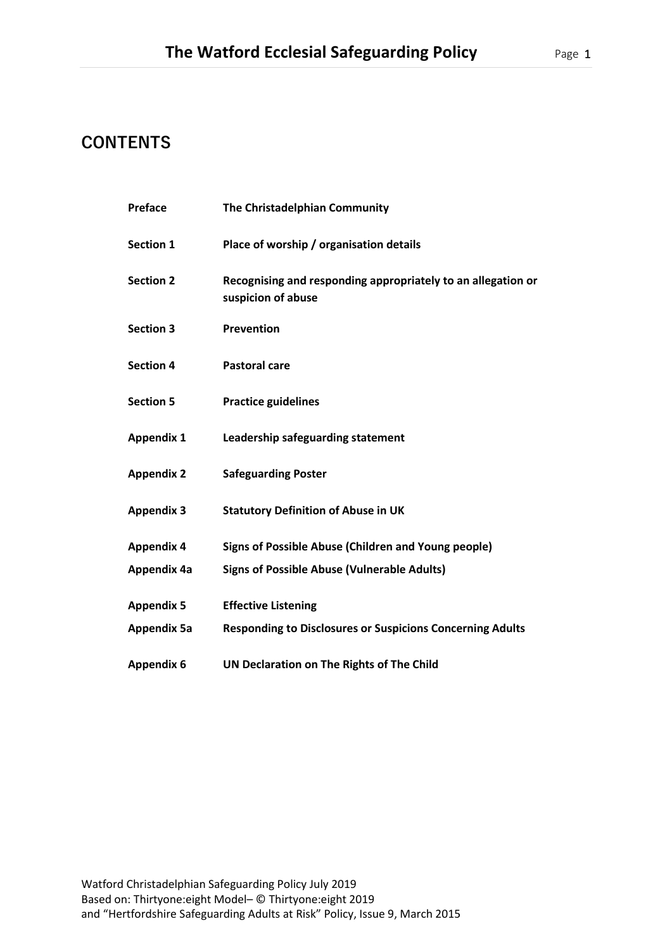# **CONTENTS**

| <b>Preface</b>     | The Christadelphian Community                                                      |
|--------------------|------------------------------------------------------------------------------------|
| <b>Section 1</b>   | Place of worship / organisation details                                            |
| <b>Section 2</b>   | Recognising and responding appropriately to an allegation or<br>suspicion of abuse |
| <b>Section 3</b>   | Prevention                                                                         |
| <b>Section 4</b>   | <b>Pastoral care</b>                                                               |
| <b>Section 5</b>   | <b>Practice guidelines</b>                                                         |
| <b>Appendix 1</b>  | Leadership safeguarding statement                                                  |
| <b>Appendix 2</b>  | <b>Safeguarding Poster</b>                                                         |
| <b>Appendix 3</b>  | <b>Statutory Definition of Abuse in UK</b>                                         |
| <b>Appendix 4</b>  | <b>Signs of Possible Abuse (Children and Young people)</b>                         |
| Appendix 4a        | <b>Signs of Possible Abuse (Vulnerable Adults)</b>                                 |
| <b>Appendix 5</b>  | <b>Effective Listening</b>                                                         |
| <b>Appendix 5a</b> | <b>Responding to Disclosures or Suspicions Concerning Adults</b>                   |
| <b>Appendix 6</b>  | UN Declaration on The Rights of The Child                                          |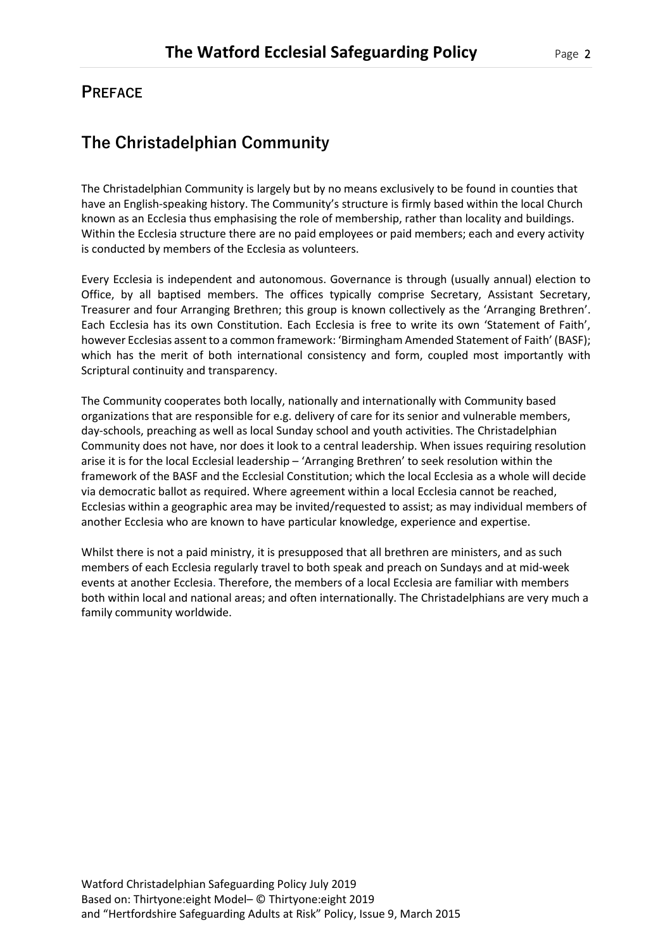# **PREFACE**

# **The Christadelphian Community**

The Christadelphian Community is largely but by no means exclusively to be found in counties that have an English-speaking history. The Community's structure is firmly based within the local Church known as an Ecclesia thus emphasising the role of membership, rather than locality and buildings. Within the Ecclesia structure there are no paid employees or paid members; each and every activity is conducted by members of the Ecclesia as volunteers.

Every Ecclesia is independent and autonomous. Governance is through (usually annual) election to Office, by all baptised members. The offices typically comprise Secretary, Assistant Secretary, Treasurer and four Arranging Brethren; this group is known collectively as the 'Arranging Brethren'. Each Ecclesia has its own Constitution. Each Ecclesia is free to write its own 'Statement of Faith', however Ecclesias assent to a common framework: 'Birmingham Amended Statement of Faith' (BASF); which has the merit of both international consistency and form, coupled most importantly with Scriptural continuity and transparency.

The Community cooperates both locally, nationally and internationally with Community based organizations that are responsible for e.g. delivery of care for its senior and vulnerable members, day-schools, preaching as well as local Sunday school and youth activities. The Christadelphian Community does not have, nor does it look to a central leadership. When issues requiring resolution arise it is for the local Ecclesial leadership – 'Arranging Brethren' to seek resolution within the framework of the BASF and the Ecclesial Constitution; which the local Ecclesia as a whole will decide via democratic ballot as required. Where agreement within a local Ecclesia cannot be reached, Ecclesias within a geographic area may be invited/requested to assist; as may individual members of another Ecclesia who are known to have particular knowledge, experience and expertise.

Whilst there is not a paid ministry, it is presupposed that all brethren are ministers, and as such members of each Ecclesia regularly travel to both speak and preach on Sundays and at mid-week events at another Ecclesia. Therefore, the members of a local Ecclesia are familiar with members both within local and national areas; and often internationally. The Christadelphians are very much a family community worldwide.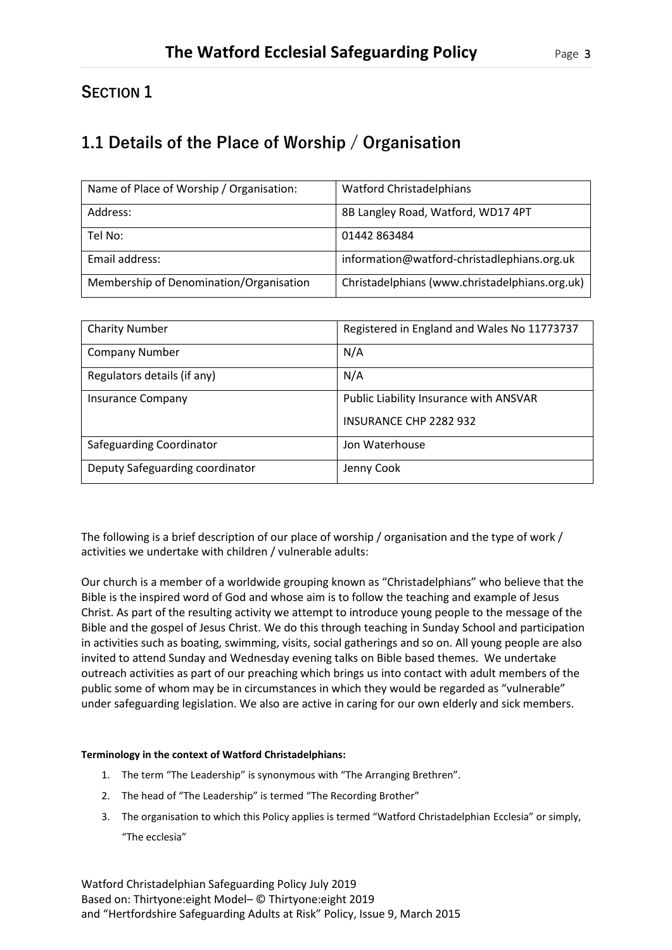# **1.1 Details of the Place of Worship / Organisation**

| Name of Place of Worship / Organisation: | <b>Watford Christadelphians</b>                |
|------------------------------------------|------------------------------------------------|
| Address:                                 | 8B Langley Road, Watford, WD17 4PT             |
| Tel No:                                  | 01442 863484                                   |
| Email address:                           | information@watford-christadlephians.org.uk    |
| Membership of Denomination/Organisation  | Christadelphians (www.christadelphians.org.uk) |

| <b>Charity Number</b>           | Registered in England and Wales No 11773737 |
|---------------------------------|---------------------------------------------|
| <b>Company Number</b>           | N/A                                         |
| Regulators details (if any)     | N/A                                         |
| <b>Insurance Company</b>        | Public Liability Insurance with ANSVAR      |
|                                 | <b>INSURANCE CHP 2282 932</b>               |
| Safeguarding Coordinator        | Jon Waterhouse                              |
| Deputy Safeguarding coordinator | Jenny Cook                                  |

The following is a brief description of our place of worship / organisation and the type of work / activities we undertake with children / vulnerable adults:

Our church is a member of a worldwide grouping known as "Christadelphians" who believe that the Bible is the inspired word of God and whose aim is to follow the teaching and example of Jesus Christ. As part of the resulting activity we attempt to introduce young people to the message of the Bible and the gospel of Jesus Christ. We do this through teaching in Sunday School and participation in activities such as boating, swimming, visits, social gatherings and so on. All young people are also invited to attend Sunday and Wednesday evening talks on Bible based themes. We undertake outreach activities as part of our preaching which brings us into contact with adult members of the public some of whom may be in circumstances in which they would be regarded as "vulnerable" under safeguarding legislation. We also are active in caring for our own elderly and sick members.

#### **Terminology in the context of Watford Christadelphians:**

- 1. The term "The Leadership" is synonymous with "The Arranging Brethren".
- 2. The head of "The Leadership" is termed "The Recording Brother"
- 3. The organisation to which this Policy applies is termed "Watford Christadelphian Ecclesia" or simply, "The ecclesia"

Watford Christadelphian Safeguarding Policy July 2019 Based on: Thirtyone:eight Model– © Thirtyone:eight 2019 and "Hertfordshire Safeguarding Adults at Risk" Policy, Issue 9, March 2015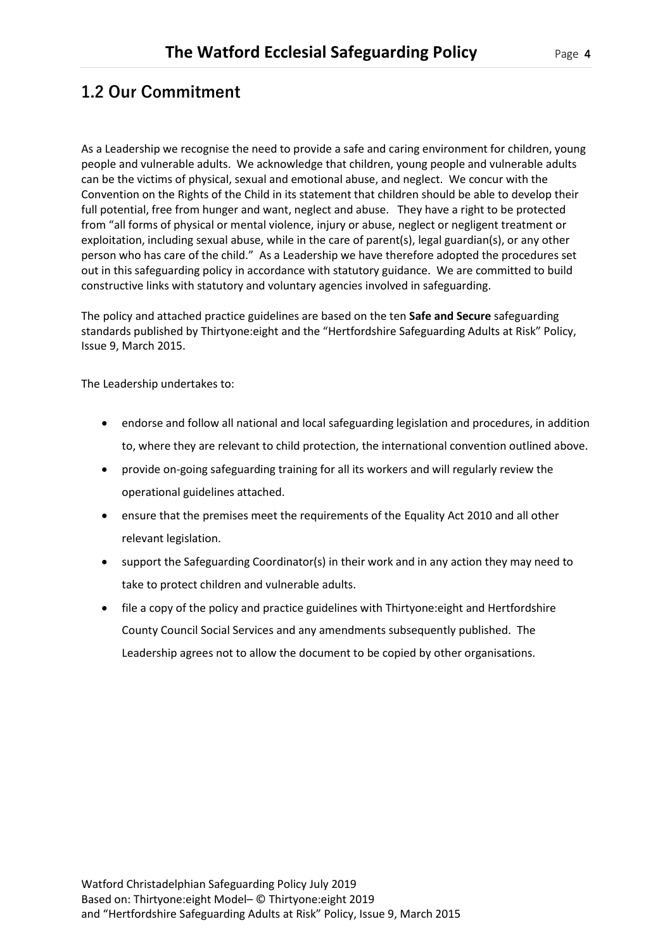# **1.2 Our Commitment**

As a Leadership we recognise the need to provide a safe and caring environment for children, young people and vulnerable adults. We acknowledge that children, young people and vulnerable adults can be the victims of physical, sexual and emotional abuse, and neglect. We concur with the Convention on the Rights of the Child in its statement that children should be able to develop their full potential, free from hunger and want, neglect and abuse. They have a right to be protected from "all forms of physical or mental violence, injury or abuse, neglect or negligent treatment or exploitation, including sexual abuse, while in the care of parent(s), legal guardian(s), or any other person who has care of the child." As a Leadership we have therefore adopted the procedures set out in this safeguarding policy in accordance with statutory guidance. We are committed to build constructive links with statutory and voluntary agencies involved in safeguarding.

The policy and attached practice guidelines are based on the ten **Safe and Secure** safeguarding standards published by Thirtyone:eight and the "Hertfordshire Safeguarding Adults at Risk" Policy, Issue 9, March 2015.

The Leadership undertakes to:

- endorse and follow all national and local safeguarding legislation and procedures, in addition to, where they are relevant to child protection, the international convention outlined above.
- provide on-going safeguarding training for all its workers and will regularly review the operational guidelines attached.
- ensure that the premises meet the requirements of the Equality Act 2010 and all other relevant legislation.
- support the Safeguarding Coordinator(s) in their work and in any action they may need to take to protect children and vulnerable adults.
- file a copy of the policy and practice guidelines with Thirtyone:eight and Hertfordshire County Council Social Services and any amendments subsequently published. The Leadership agrees not to allow the document to be copied by other organisations.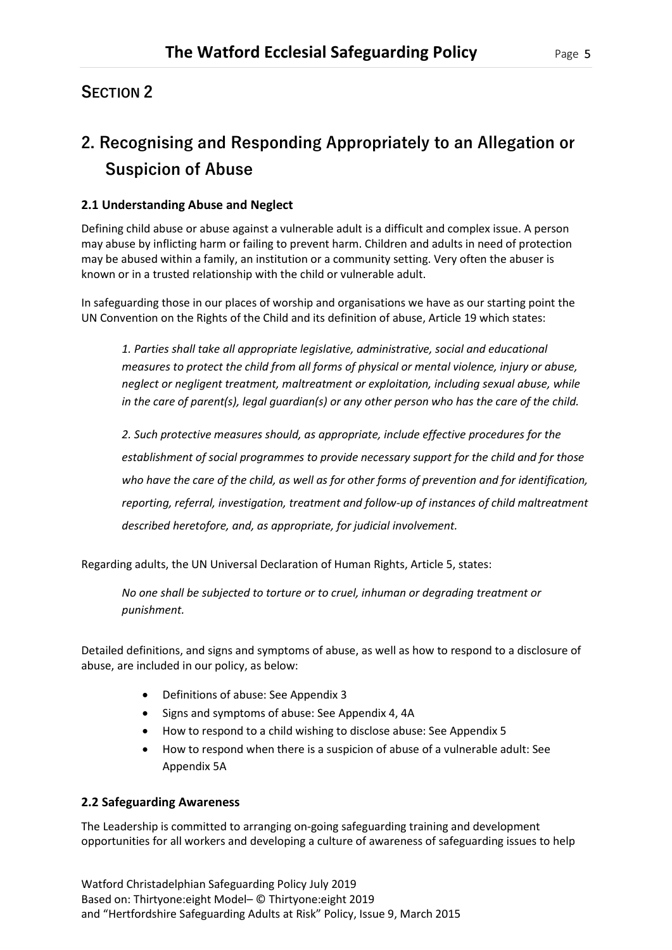# **2. Recognising and Responding Appropriately to an Allegation or Suspicion of Abuse**

### **2.1 Understanding Abuse and Neglect**

Defining child abuse or abuse against a vulnerable adult is a difficult and complex issue. A person may abuse by inflicting harm or failing to prevent harm. Children and adults in need of protection may be abused within a family, an institution or a community setting. Very often the abuser is known or in a trusted relationship with the child or vulnerable adult.

In safeguarding those in our places of worship and organisations we have as our starting point the UN Convention on the Rights of the Child and its definition of abuse, Article 19 which states:

*1. Parties shall take all appropriate legislative, administrative, social and educational measures to protect the child from all forms of physical or mental violence, injury or abuse, neglect or negligent treatment, maltreatment or exploitation, including sexual abuse, while in the care of parent(s), legal guardian(s) or any other person who has the care of the child.* 

*2. Such protective measures should, as appropriate, include effective procedures for the establishment of social programmes to provide necessary support for the child and for those who have the care of the child, as well as for other forms of prevention and for identification, reporting, referral, investigation, treatment and follow-up of instances of child maltreatment described heretofore, and, as appropriate, for judicial involvement.* 

Regarding adults, the UN Universal Declaration of Human Rights, Article 5, states:

*No one shall be subjected to torture or to cruel, inhuman or degrading treatment or punishment.*

Detailed definitions, and signs and symptoms of abuse, as well as how to respond to a disclosure of abuse, are included in our policy, as below:

- Definitions of abuse: See Appendix 3
- Signs and symptoms of abuse: See Appendix 4, 4A
- How to respond to a child wishing to disclose abuse: See Appendix 5
- How to respond when there is a suspicion of abuse of a vulnerable adult: See Appendix 5A

### **2.2 Safeguarding Awareness**

The Leadership is committed to arranging on-going safeguarding training and development opportunities for all workers and developing a culture of awareness of safeguarding issues to help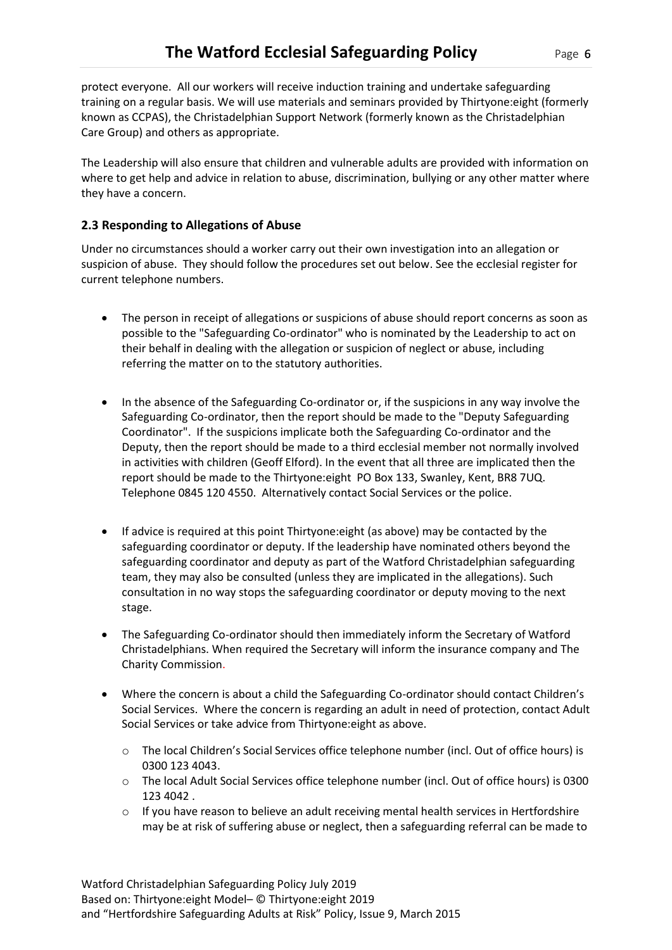protect everyone. All our workers will receive induction training and undertake safeguarding training on a regular basis. We will use materials and seminars provided by Thirtyone:eight (formerly known as CCPAS), the Christadelphian Support Network (formerly known as the Christadelphian Care Group) and others as appropriate.

The Leadership will also ensure that children and vulnerable adults are provided with information on where to get help and advice in relation to abuse, discrimination, bullying or any other matter where they have a concern.

#### **2.3 Responding to Allegations of Abuse**

Under no circumstances should a worker carry out their own investigation into an allegation or suspicion of abuse. They should follow the procedures set out below. See the ecclesial register for current telephone numbers.

- The person in receipt of allegations or suspicions of abuse should report concerns as soon as possible to the "Safeguarding Co-ordinator" who is nominated by the Leadership to act on their behalf in dealing with the allegation or suspicion of neglect or abuse, including referring the matter on to the statutory authorities.
- In the absence of the Safeguarding Co-ordinator or, if the suspicions in any way involve the Safeguarding Co-ordinator, then the report should be made to the "Deputy Safeguarding Coordinator". If the suspicions implicate both the Safeguarding Co-ordinator and the Deputy, then the report should be made to a third ecclesial member not normally involved in activities with children (Geoff Elford). In the event that all three are implicated then the report should be made to the Thirtyone:eight PO Box 133, Swanley, Kent, BR8 7UQ. Telephone 0845 120 4550. Alternatively contact Social Services or the police.
- If advice is required at this point Thirtyone:eight (as above) may be contacted by the safeguarding coordinator or deputy. If the leadership have nominated others beyond the safeguarding coordinator and deputy as part of the Watford Christadelphian safeguarding team, they may also be consulted (unless they are implicated in the allegations). Such consultation in no way stops the safeguarding coordinator or deputy moving to the next stage.
- The Safeguarding Co-ordinator should then immediately inform the Secretary of Watford Christadelphians. When required the Secretary will inform the insurance company and The Charity Commission.
- Where the concern is about a child the Safeguarding Co-ordinator should contact Children's Social Services. Where the concern is regarding an adult in need of protection, contact Adult Social Services or take advice from Thirtyone:eight as above.
	- o The local Children's Social Services office telephone number (incl. Out of office hours) is 0300 123 4043.
	- o The local Adult Social Services office telephone number (incl. Out of office hours) is 0300 123 4042 .
	- $\circ$  If you have reason to believe an adult receiving mental health services in Hertfordshire may be at risk of suffering abuse or neglect, then a safeguarding referral can be made to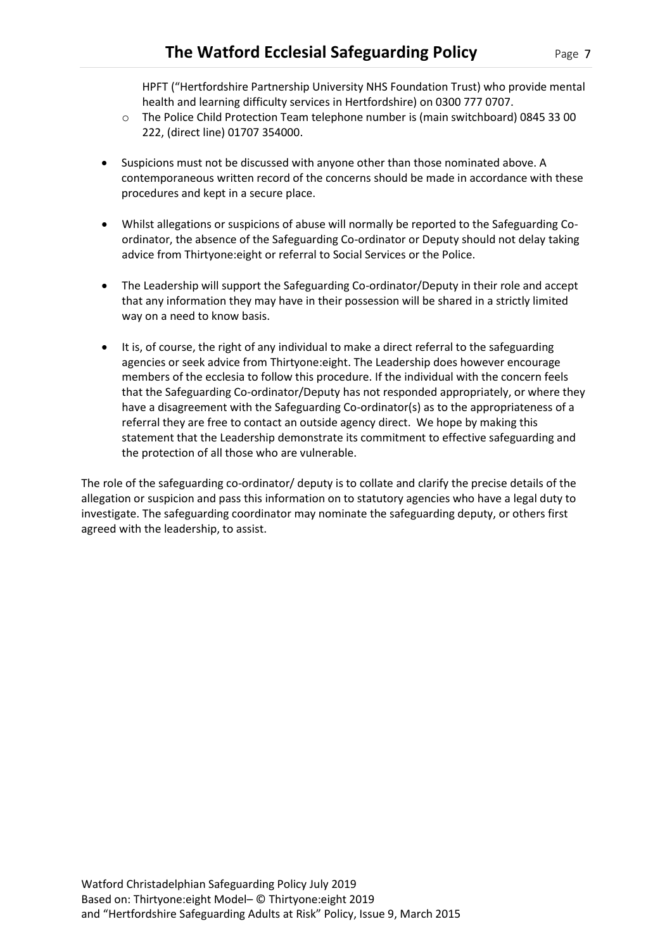# **The Watford Ecclesial Safeguarding Policy**

HPFT ("Hertfordshire Partnership University NHS Foundation Trust) who provide mental health and learning difficulty services in Hertfordshire) on 0300 777 0707.

- o The Police Child Protection Team telephone number is (main switchboard) 0845 33 00 222, (direct line) 01707 354000.
- Suspicions must not be discussed with anyone other than those nominated above. A contemporaneous written record of the concerns should be made in accordance with these procedures and kept in a secure place.
- Whilst allegations or suspicions of abuse will normally be reported to the Safeguarding Coordinator, the absence of the Safeguarding Co-ordinator or Deputy should not delay taking advice from Thirtyone:eight or referral to Social Services or the Police.
- The Leadership will support the Safeguarding Co-ordinator/Deputy in their role and accept that any information they may have in their possession will be shared in a strictly limited way on a need to know basis.
- It is, of course, the right of any individual to make a direct referral to the safeguarding agencies or seek advice from Thirtyone:eight. The Leadership does however encourage members of the ecclesia to follow this procedure. If the individual with the concern feels that the Safeguarding Co-ordinator/Deputy has not responded appropriately, or where they have a disagreement with the Safeguarding Co-ordinator(s) as to the appropriateness of a referral they are free to contact an outside agency direct. We hope by making this statement that the Leadership demonstrate its commitment to effective safeguarding and the protection of all those who are vulnerable.

The role of the safeguarding co-ordinator/ deputy is to collate and clarify the precise details of the allegation or suspicion and pass this information on to statutory agencies who have a legal duty to investigate. The safeguarding coordinator may nominate the safeguarding deputy, or others first agreed with the leadership, to assist.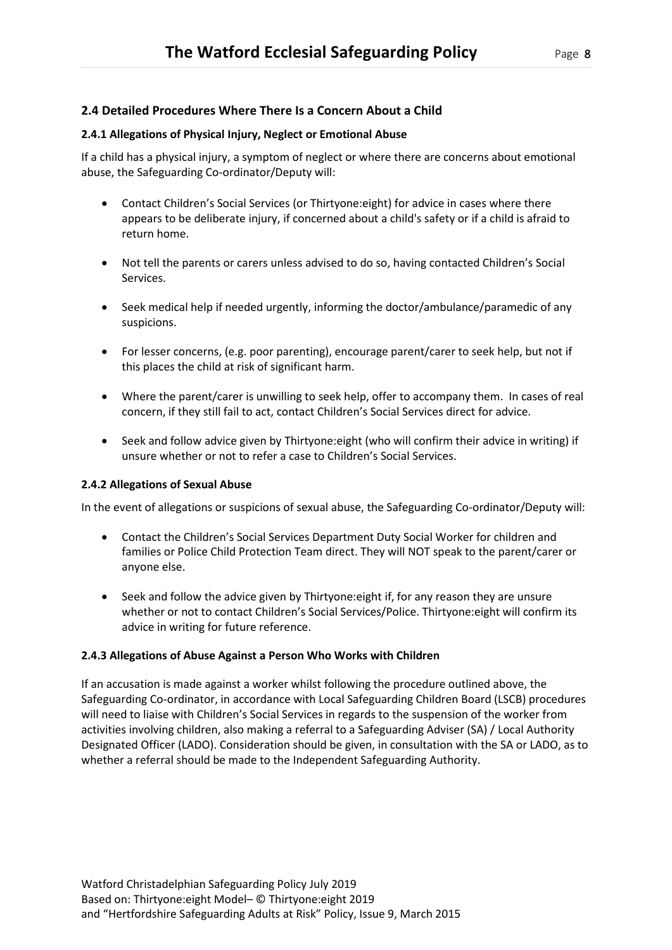### **2.4 Detailed Procedures Where There Is a Concern About a Child**

#### **2.4.1 Allegations of Physical Injury, Neglect or Emotional Abuse**

If a child has a physical injury, a symptom of neglect or where there are concerns about emotional abuse, the Safeguarding Co-ordinator/Deputy will:

- Contact Children's Social Services (or Thirtyone:eight) for advice in cases where there appears to be deliberate injury, if concerned about a child's safety or if a child is afraid to return home.
- Not tell the parents or carers unless advised to do so, having contacted Children's Social Services.
- Seek medical help if needed urgently, informing the doctor/ambulance/paramedic of any suspicions.
- For lesser concerns, (e.g. poor parenting), encourage parent/carer to seek help, but not if this places the child at risk of significant harm.
- Where the parent/carer is unwilling to seek help, offer to accompany them. In cases of real concern, if they still fail to act, contact Children's Social Services direct for advice.
- Seek and follow advice given by Thirtyone:eight (who will confirm their advice in writing) if unsure whether or not to refer a case to Children's Social Services.

#### **2.4.2 Allegations of Sexual Abuse**

In the event of allegations or suspicions of sexual abuse, the Safeguarding Co-ordinator/Deputy will:

- Contact the Children's Social Services Department Duty Social Worker for children and families or Police Child Protection Team direct. They will NOT speak to the parent/carer or anyone else.
- Seek and follow the advice given by Thirtyone:eight if, for any reason they are unsure whether or not to contact Children's Social Services/Police. Thirtyone:eight will confirm its advice in writing for future reference.

#### **2.4.3 Allegations of Abuse Against a Person Who Works with Children**

If an accusation is made against a worker whilst following the procedure outlined above, the Safeguarding Co-ordinator, in accordance with Local Safeguarding Children Board (LSCB) procedures will need to liaise with Children's Social Services in regards to the suspension of the worker from activities involving children, also making a referral to a Safeguarding Adviser (SA) / Local Authority Designated Officer (LADO). Consideration should be given, in consultation with the SA or LADO, as to whether a referral should be made to the Independent Safeguarding Authority.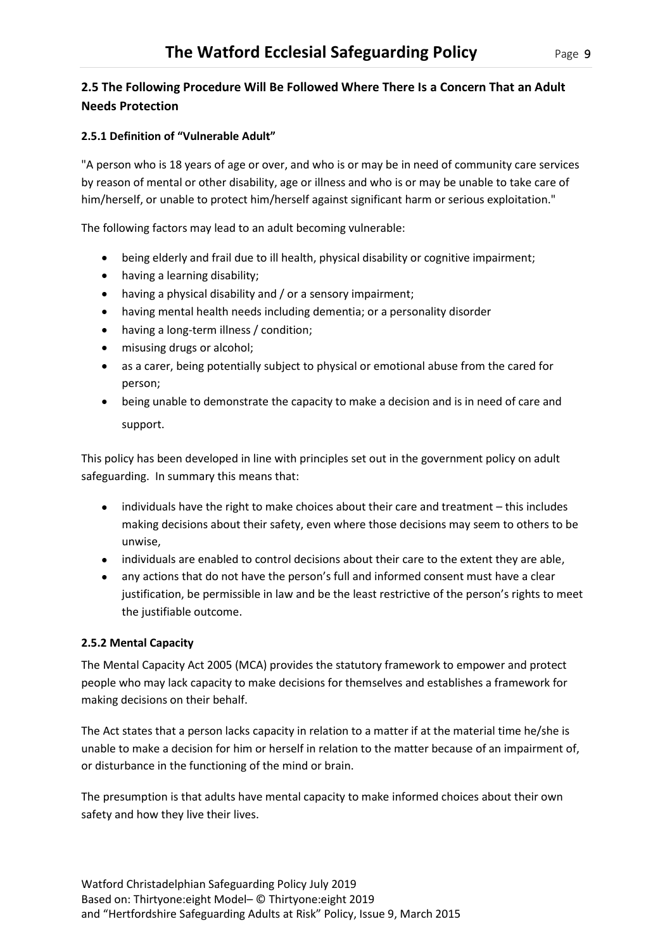### **2.5 The Following Procedure Will Be Followed Where There Is a Concern That an Adult Needs Protection**

### **2.5.1 Definition of "Vulnerable Adult"**

"A person who is 18 years of age or over, and who is or may be in need of community care services by reason of mental or other disability, age or illness and who is or may be unable to take care of him/herself, or unable to protect him/herself against significant harm or serious exploitation."

The following factors may lead to an adult becoming vulnerable:

- being elderly and frail due to ill health, physical disability or cognitive impairment;
- having a learning disability;
- having a physical disability and / or a sensory impairment;
- having mental health needs including dementia; or a personality disorder
- having a long-term illness / condition;
- misusing drugs or alcohol;
- as a carer, being potentially subject to physical or emotional abuse from the cared for person;
- being unable to demonstrate the capacity to make a decision and is in need of care and support.

This policy has been developed in line with principles set out in the government policy on adult safeguarding. In summary this means that:

- individuals have the right to make choices about their care and treatment this includes making decisions about their safety, even where those decisions may seem to others to be unwise,
- individuals are enabled to control decisions about their care to the extent they are able,
- any actions that do not have the person's full and informed consent must have a clear justification, be permissible in law and be the least restrictive of the person's rights to meet the justifiable outcome.

### **2.5.2 Mental Capacity**

The Mental Capacity Act 2005 (MCA) provides the statutory framework to empower and protect people who may lack capacity to make decisions for themselves and establishes a framework for making decisions on their behalf.

The Act states that a person lacks capacity in relation to a matter if at the material time he/she is unable to make a decision for him or herself in relation to the matter because of an impairment of, or disturbance in the functioning of the mind or brain.

The presumption is that adults have mental capacity to make informed choices about their own safety and how they live their lives.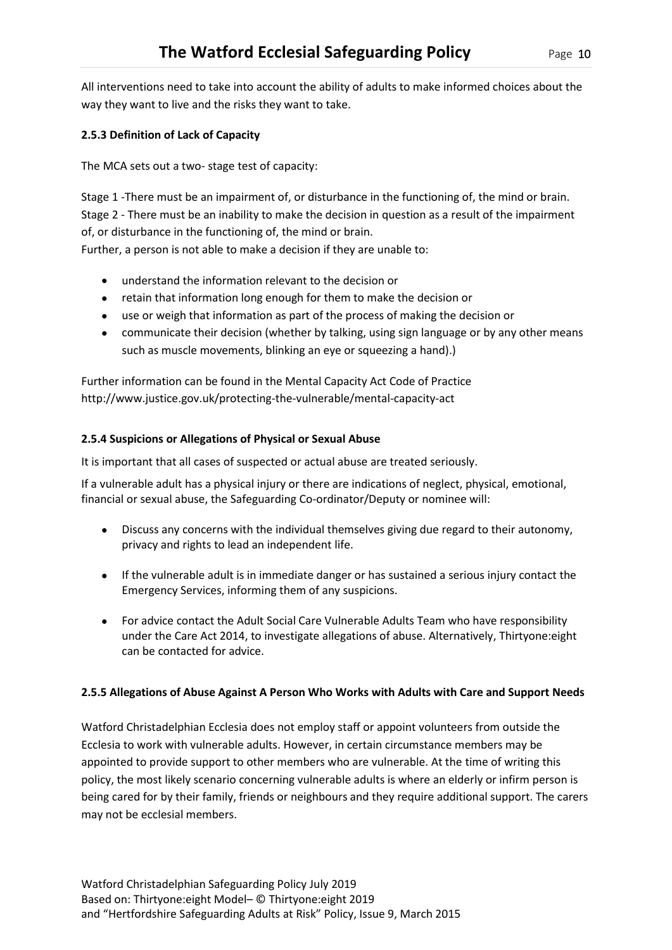All interventions need to take into account the ability of adults to make informed choices about the way they want to live and the risks they want to take.

### **2.5.3 Definition of Lack of Capacity**

The MCA sets out a two- stage test of capacity:

Stage 1 -There must be an impairment of, or disturbance in the functioning of, the mind or brain. Stage 2 - There must be an inability to make the decision in question as a result of the impairment of, or disturbance in the functioning of, the mind or brain.

Further, a person is not able to make a decision if they are unable to:

- understand the information relevant to the decision or
- retain that information long enough for them to make the decision or
- use or weigh that information as part of the process of making the decision or
- communicate their decision (whether by talking, using sign language or by any other means such as muscle movements, blinking an eye or squeezing a hand).)

Further information can be found in the Mental Capacity Act Code of Practice <http://www.justice.gov.uk/protecting-the-vulnerable/mental-capacity-act>

#### **2.5.4 Suspicions or Allegations of Physical or Sexual Abuse**

It is important that all cases of suspected or actual abuse are treated seriously.

If a vulnerable adult has a physical injury or there are indications of neglect, physical, emotional, financial or sexual abuse, the Safeguarding Co-ordinator/Deputy or nominee will:

- Discuss any concerns with the individual themselves giving due regard to their autonomy, privacy and rights to lead an independent life.
- If the vulnerable adult is in immediate danger or has sustained a serious injury contact the Emergency Services, informing them of any suspicions.
- For advice contact the Adult Social Care Vulnerable Adults Team who have responsibility under the Care Act 2014, to investigate allegations of abuse. Alternatively, Thirtyone:eight can be contacted for advice.

#### **2.5.5 Allegations of Abuse Against A Person Who Works with Adults with Care and Support Needs**

Watford Christadelphian Ecclesia does not employ staff or appoint volunteers from outside the Ecclesia to work with vulnerable adults. However, in certain circumstance members may be appointed to provide support to other members who are vulnerable. At the time of writing this policy, the most likely scenario concerning vulnerable adults is where an elderly or infirm person is being cared for by their family, friends or neighbours and they require additional support. The carers may not be ecclesial members.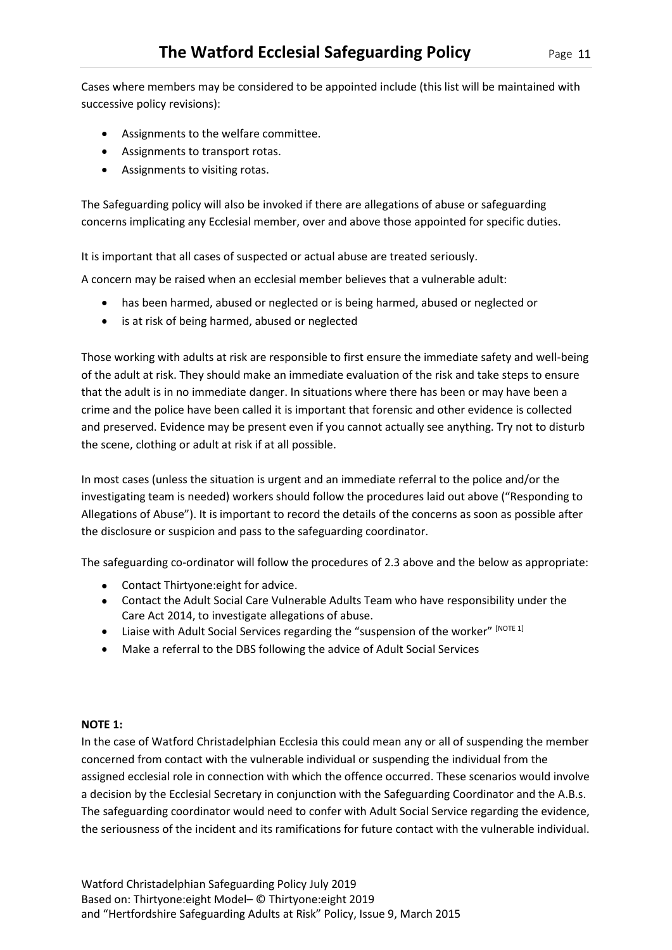Cases where members may be considered to be appointed include (this list will be maintained with successive policy revisions):

- Assignments to the welfare committee.
- Assignments to transport rotas.
- Assignments to visiting rotas.

The Safeguarding policy will also be invoked if there are allegations of abuse or safeguarding concerns implicating any Ecclesial member, over and above those appointed for specific duties.

It is important that all cases of suspected or actual abuse are treated seriously.

A concern may be raised when an ecclesial member believes that a vulnerable adult:

- has been harmed, abused or neglected or is being harmed, abused or neglected or
- is at risk of being harmed, abused or neglected

Those working with adults at risk are responsible to first ensure the immediate safety and well-being of the adult at risk. They should make an immediate evaluation of the risk and take steps to ensure that the adult is in no immediate danger. In situations where there has been or may have been a crime and the police have been called it is important that forensic and other evidence is collected and preserved. Evidence may be present even if you cannot actually see anything. Try not to disturb the scene, clothing or adult at risk if at all possible.

In most cases (unless the situation is urgent and an immediate referral to the police and/or the investigating team is needed) workers should follow the procedures laid out above ("Responding to Allegations of Abuse"). It is important to record the details of the concerns as soon as possible after the disclosure or suspicion and pass to the safeguarding coordinator.

The safeguarding co-ordinator will follow the procedures of 2.3 above and the below as appropriate:

- Contact Thirtyone:eight for advice.
- Contact the Adult Social Care Vulnerable Adults Team who have responsibility under the Care Act 2014, to investigate allegations of abuse.
- Liaise with Adult Social Services regarding the "suspension of the worker" [NOTE 1]
- Make a referral to the DBS following the advice of Adult Social Services

#### **NOTE 1:**

In the case of Watford Christadelphian Ecclesia this could mean any or all of suspending the member concerned from contact with the vulnerable individual or suspending the individual from the assigned ecclesial role in connection with which the offence occurred. These scenarios would involve a decision by the Ecclesial Secretary in conjunction with the Safeguarding Coordinator and the A.B.s. The safeguarding coordinator would need to confer with Adult Social Service regarding the evidence, the seriousness of the incident and its ramifications for future contact with the vulnerable individual.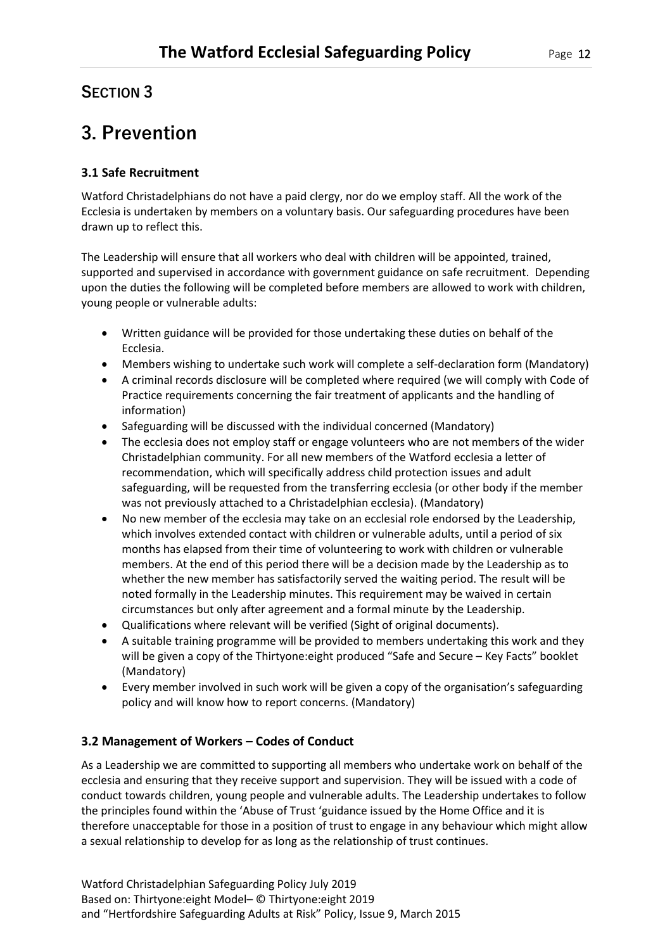# **3. Prevention**

### **3.1 Safe Recruitment**

Watford Christadelphians do not have a paid clergy, nor do we employ staff. All the work of the Ecclesia is undertaken by members on a voluntary basis. Our safeguarding procedures have been drawn up to reflect this.

The Leadership will ensure that all workers who deal with children will be appointed, trained, supported and supervised in accordance with government guidance on safe recruitment. Depending upon the duties the following will be completed before members are allowed to work with children, young people or vulnerable adults:

- Written guidance will be provided for those undertaking these duties on behalf of the Ecclesia.
- Members wishing to undertake such work will complete a self-declaration form (Mandatory)
- A criminal records disclosure will be completed where required (we will comply with Code of Practice requirements concerning the fair treatment of applicants and the handling of information)
- Safeguarding will be discussed with the individual concerned (Mandatory)
- The ecclesia does not employ staff or engage volunteers who are not members of the wider Christadelphian community. For all new members of the Watford ecclesia a letter of recommendation, which will specifically address child protection issues and adult safeguarding, will be requested from the transferring ecclesia (or other body if the member was not previously attached to a Christadelphian ecclesia). (Mandatory)
- No new member of the ecclesia may take on an ecclesial role endorsed by the Leadership, which involves extended contact with children or vulnerable adults, until a period of six months has elapsed from their time of volunteering to work with children or vulnerable members. At the end of this period there will be a decision made by the Leadership as to whether the new member has satisfactorily served the waiting period. The result will be noted formally in the Leadership minutes. This requirement may be waived in certain circumstances but only after agreement and a formal minute by the Leadership.
- Qualifications where relevant will be verified (Sight of original documents).
- A suitable training programme will be provided to members undertaking this work and they will be given a copy of the Thirtyone:eight produced "Safe and Secure – Key Facts" booklet (Mandatory)
- Every member involved in such work will be given a copy of the organisation's safeguarding policy and will know how to report concerns. (Mandatory)

### **3.2 Management of Workers – Codes of Conduct**

As a Leadership we are committed to supporting all members who undertake work on behalf of the ecclesia and ensuring that they receive support and supervision. They will be issued with a code of conduct towards children, young people and vulnerable adults. The Leadership undertakes to follow the principles found within the 'Abuse of Trust 'guidance issued by the Home Office and it is therefore unacceptable for those in a position of trust to engage in any behaviour which might allow a sexual relationship to develop for as long as the relationship of trust continues.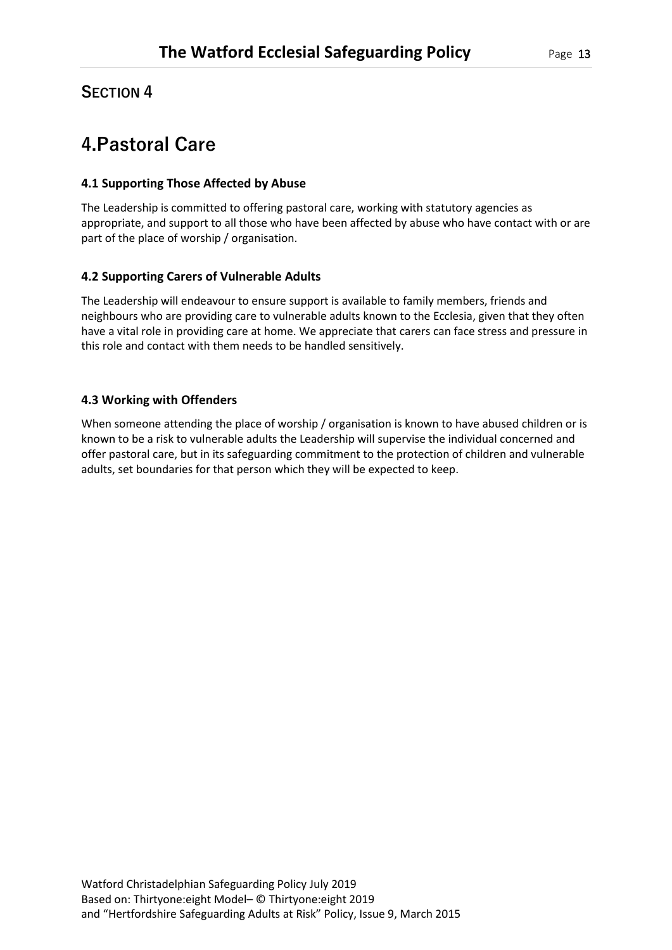# **4.Pastoral Care**

### **4.1 Supporting Those Affected by Abuse**

The Leadership is committed to offering pastoral care, working with statutory agencies as appropriate, and support to all those who have been affected by abuse who have contact with or are part of the place of worship / organisation.

### **4.2 Supporting Carers of Vulnerable Adults**

The Leadership will endeavour to ensure support is available to family members, friends and neighbours who are providing care to vulnerable adults known to the Ecclesia, given that they often have a vital role in providing care at home. We appreciate that carers can face stress and pressure in this role and contact with them needs to be handled sensitively.

### **4.3 Working with Offenders**

When someone attending the place of worship / organisation is known to have abused children or is known to be a risk to vulnerable adults the Leadership will supervise the individual concerned and offer pastoral care, but in its safeguarding commitment to the protection of children and vulnerable adults, set boundaries for that person which they will be expected to keep.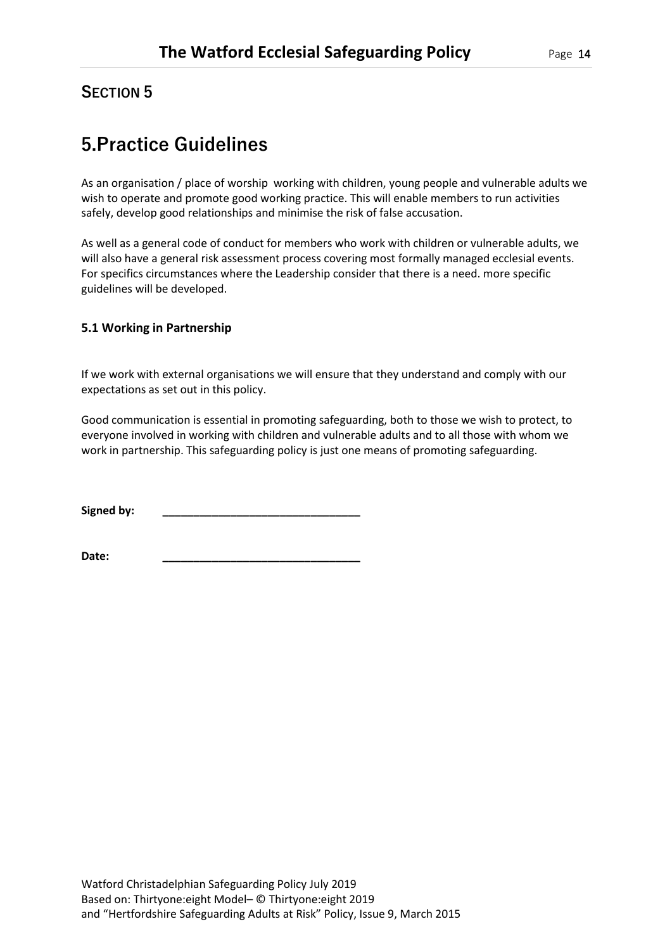# **5.Practice Guidelines**

As an organisation / place of worship working with children, young people and vulnerable adults we wish to operate and promote good working practice. This will enable members to run activities safely, develop good relationships and minimise the risk of false accusation.

As well as a general code of conduct for members who work with children or vulnerable adults, we will also have a general risk assessment process covering most formally managed ecclesial events. For specifics circumstances where the Leadership consider that there is a need. more specific guidelines will be developed.

### **5.1 Working in Partnership**

If we work with external organisations we will ensure that they understand and comply with our expectations as set out in this policy.

Good communication is essential in promoting safeguarding, both to those we wish to protect, to everyone involved in working with children and vulnerable adults and to all those with whom we work in partnership. This safeguarding policy is just one means of promoting safeguarding.

Signed by:

**Date: \_\_\_\_\_\_\_\_\_\_\_\_\_\_\_\_\_\_\_\_\_\_\_\_\_\_\_\_\_\_\_\_**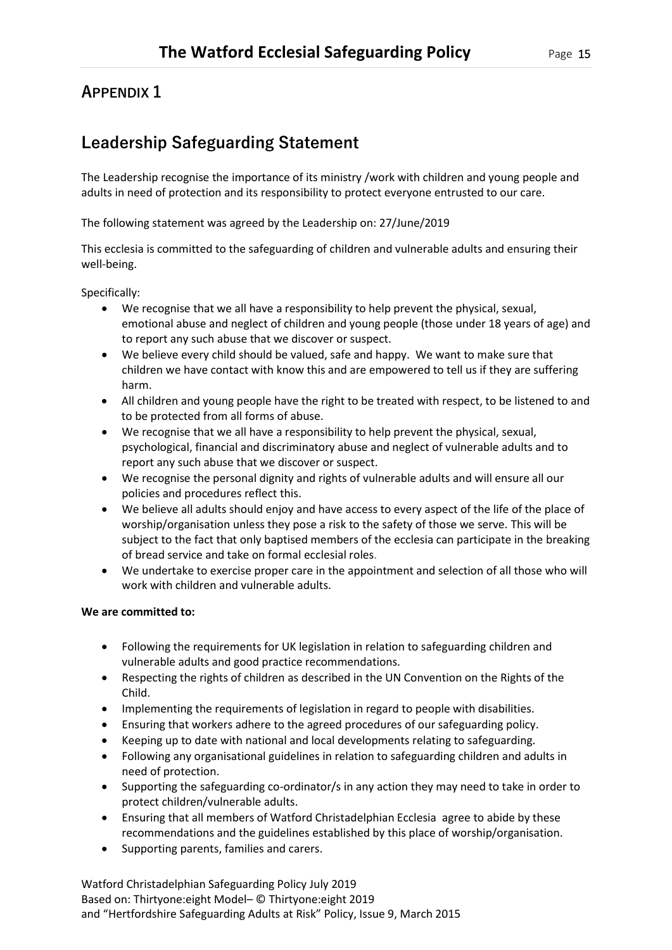# **APPENDIX 1**

# **Leadership Safeguarding Statement**

The Leadership recognise the importance of its ministry /work with children and young people and adults in need of protection and its responsibility to protect everyone entrusted to our care.

The following statement was agreed by the Leadership on: 27/June/2019

This ecclesia is committed to the safeguarding of children and vulnerable adults and ensuring their well-being.

Specifically:

- We recognise that we all have a responsibility to help prevent the physical, sexual, emotional abuse and neglect of children and young people (those under 18 years of age) and to report any such abuse that we discover or suspect.
- We believe every child should be valued, safe and happy. We want to make sure that children we have contact with know this and are empowered to tell us if they are suffering harm.
- All children and young people have the right to be treated with respect, to be listened to and to be protected from all forms of abuse.
- We recognise that we all have a responsibility to help prevent the physical, sexual, psychological, financial and discriminatory abuse and neglect of vulnerable adults and to report any such abuse that we discover or suspect.
- We recognise the personal dignity and rights of vulnerable adults and will ensure all our policies and procedures reflect this.
- We believe all adults should enjoy and have access to every aspect of the life of the place of worship/organisation unless they pose a risk to the safety of those we serve. This will be subject to the fact that only baptised members of the ecclesia can participate in the breaking of bread service and take on formal ecclesial roles.
- We undertake to exercise proper care in the appointment and selection of all those who will work with children and vulnerable adults.

#### **We are committed to:**

- Following the requirements for UK legislation in relation to safeguarding children and vulnerable adults and good practice recommendations.
- Respecting the rights of children as described in the UN Convention on the Rights of the Child.
- Implementing the requirements of legislation in regard to people with disabilities.
- Ensuring that workers adhere to the agreed procedures of our safeguarding policy.
- Keeping up to date with national and local developments relating to safeguarding.
- Following any organisational guidelines in relation to safeguarding children and adults in need of protection.
- Supporting the safeguarding co-ordinator/s in any action they may need to take in order to protect children/vulnerable adults.
- Ensuring that all members of Watford Christadelphian Ecclesia agree to abide by these recommendations and the guidelines established by this place of worship/organisation.
- Supporting parents, families and carers.

Watford Christadelphian Safeguarding Policy July 2019 Based on: Thirtyone:eight Model– © Thirtyone:eight 2019 and "Hertfordshire Safeguarding Adults at Risk" Policy, Issue 9, March 2015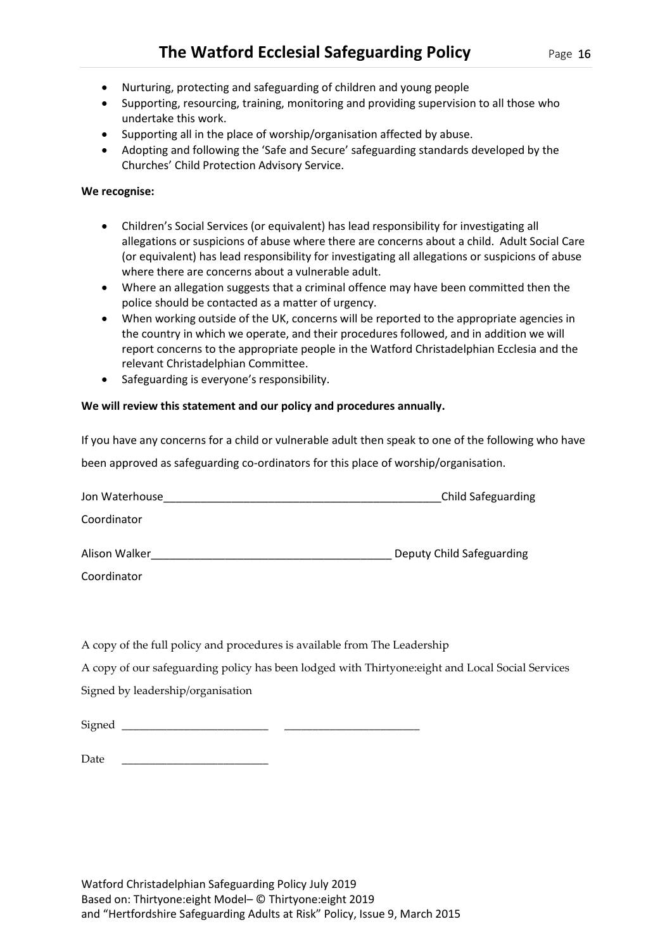- Nurturing, protecting and safeguarding of children and young people
- Supporting, resourcing, training, monitoring and providing supervision to all those who undertake this work.
- Supporting all in the place of worship/organisation affected by abuse.
- Adopting and following the 'Safe and Secure' safeguarding standards developed by the Churches' Child Protection Advisory Service.

#### **We recognise:**

- Children's Social Services (or equivalent) has lead responsibility for investigating all allegations or suspicions of abuse where there are concerns about a child. Adult Social Care (or equivalent) has lead responsibility for investigating all allegations or suspicions of abuse where there are concerns about a vulnerable adult.
- Where an allegation suggests that a criminal offence may have been committed then the police should be contacted as a matter of urgency.
- When working outside of the UK, concerns will be reported to the appropriate agencies in the country in which we operate, and their procedures followed, and in addition we will report concerns to the appropriate people in the Watford Christadelphian Ecclesia and the relevant Christadelphian Committee.
- Safeguarding is everyone's responsibility.

#### **We will review this statement and our policy and procedures annually.**

If you have any concerns for a child or vulnerable adult then speak to one of the following who have

been approved as safeguarding co-ordinators for this place of worship/organisation.

| Jon Waterhouse | <b>Child Safeguarding</b> |
|----------------|---------------------------|
| Coordinator    |                           |
| Alison Walker  | Deputy Child Safeguarding |
| Coordinator    |                           |

A copy of the full policy and procedures is available from The Leadership

A copy of our safeguarding policy has been lodged with Thirtyone:eight and Local Social Services Signed by leadership/organisation

 $Signal$   $\qquad \qquad \qquad$ 

Date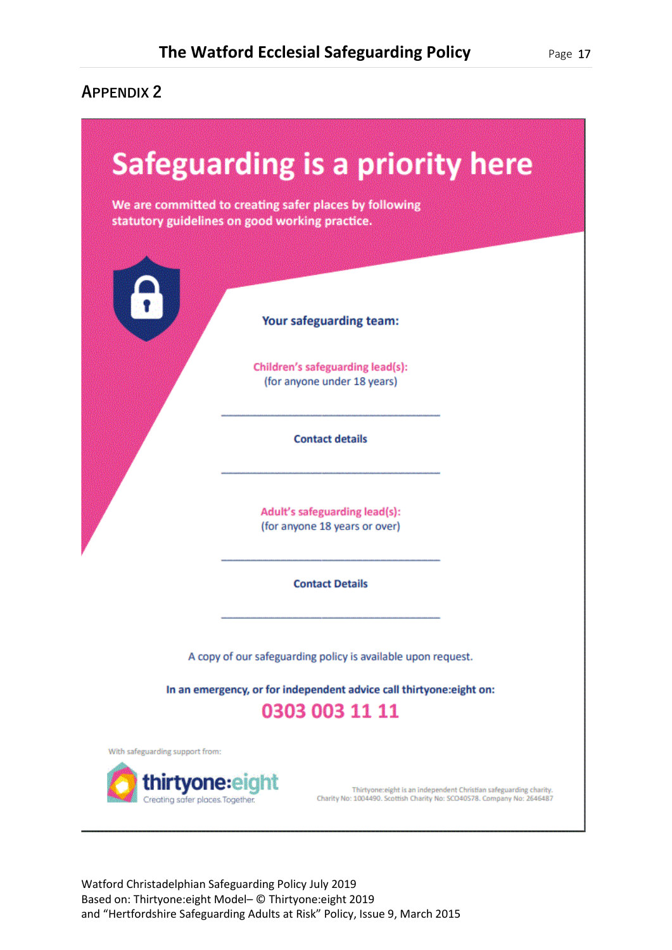# **APPENDIX 2**



In an emergency, or for independent advice call thirtyone:eight on: 0303 003 11 11

With safeguarding support from:



Thirtyone:eight is an independent Christian safeguarding charity.<br>Charity No: 1004490. Scottish Charity No: SCO40S78. Company No: 2646487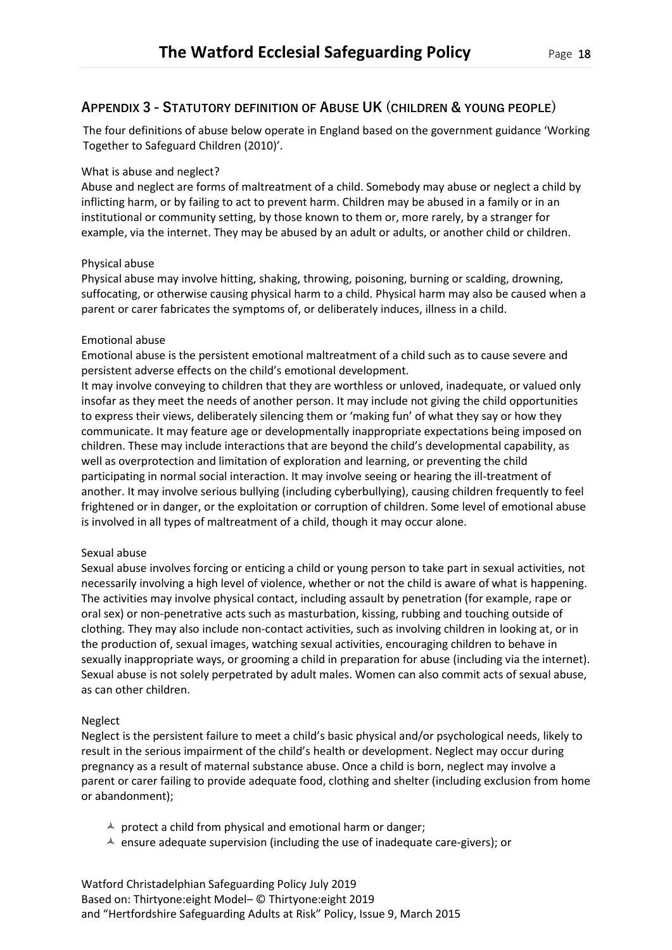### **APPENDIX 3 - STATUTORY DEFINITION OF ABUSE UK (CHILDREN & YOUNG PEOPLE)**

The four definitions of abuse below operate in England based on the government guidance 'Working Together to Safeguard Children (2010)'.

#### What is abuse and neglect?

Abuse and neglect are forms of maltreatment of a child. Somebody may abuse or neglect a child by inflicting harm, or by failing to act to prevent harm. Children may be abused in a family or in an institutional or community setting, by those known to them or, more rarely, by a stranger for example, via the internet. They may be abused by an adult or adults, or another child or children.

#### Physical abuse

Physical abuse may involve hitting, shaking, throwing, poisoning, burning or scalding, drowning, suffocating, or otherwise causing physical harm to a child. Physical harm may also be caused when a parent or carer fabricates the symptoms of, or deliberately induces, illness in a child.

#### Emotional abuse

Emotional abuse is the persistent emotional maltreatment of a child such as to cause severe and persistent adverse effects on the child's emotional development.

It may involve conveying to children that they are worthless or unloved, inadequate, or valued only insofar as they meet the needs of another person. It may include not giving the child opportunities to express their views, deliberately silencing them or 'making fun' of what they say or how they communicate. It may feature age or developmentally inappropriate expectations being imposed on children. These may include interactions that are beyond the child's developmental capability, as well as overprotection and limitation of exploration and learning, or preventing the child participating in normal social interaction. It may involve seeing or hearing the ill-treatment of another. It may involve serious bullying (including cyberbullying), causing children frequently to feel frightened or in danger, or the exploitation or corruption of children. Some level of emotional abuse is involved in all types of maltreatment of a child, though it may occur alone.

#### Sexual abuse

Sexual abuse involves forcing or enticing a child or young person to take part in sexual activities, not necessarily involving a high level of violence, whether or not the child is aware of what is happening. The activities may involve physical contact, including assault by penetration (for example, rape or oral sex) or non-penetrative acts such as masturbation, kissing, rubbing and touching outside of clothing. They may also include non-contact activities, such as involving children in looking at, or in the production of, sexual images, watching sexual activities, encouraging children to behave in sexually inappropriate ways, or grooming a child in preparation for abuse (including via the internet). Sexual abuse is not solely perpetrated by adult males. Women can also commit acts of sexual abuse, as can other children.

#### Neglect

Neglect is the persistent failure to meet a child's basic physical and/or psychological needs, likely to result in the serious impairment of the child's health or development. Neglect may occur during pregnancy as a result of maternal substance abuse. Once a child is born, neglect may involve a parent or carer failing to provide adequate food, clothing and shelter (including exclusion from home or abandonment);

- $\triangle$  protect a child from physical and emotional harm or danger;
- $\triangle$  ensure adequate supervision (including the use of inadequate care-givers); or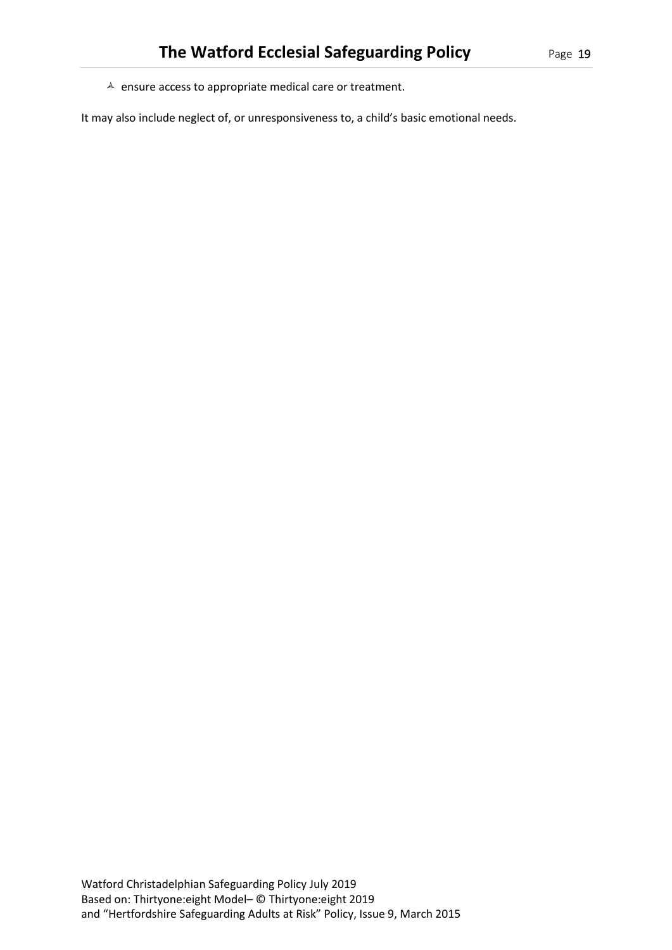$\triangle$  ensure access to appropriate medical care or treatment.

It may also include neglect of, or unresponsiveness to, a child's basic emotional needs.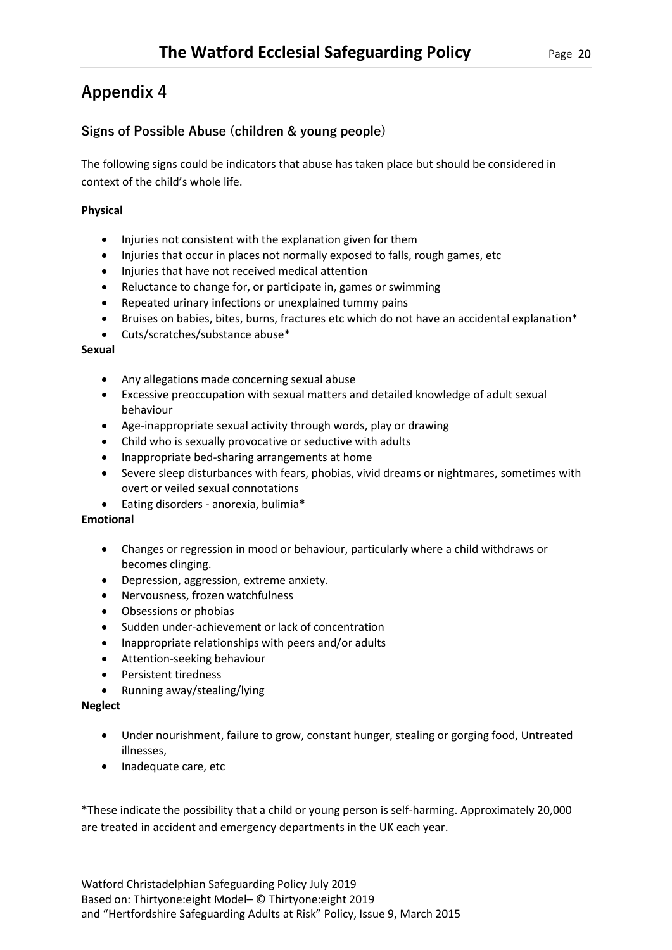# **Appendix 4**

### **Signs of Possible Abuse (children & young people)**

The following signs could be indicators that abuse has taken place but should be considered in context of the child's whole life.

#### **Physical**

- Injuries not consistent with the explanation given for them
- Injuries that occur in places not normally exposed to falls, rough games, etc
- Injuries that have not received medical attention
- Reluctance to change for, or participate in, games or swimming
- Repeated urinary infections or unexplained tummy pains
- Bruises on babies, bites, burns, fractures etc which do not have an accidental explanation\*
- Cuts/scratches/substance abuse\*

#### **Sexual**

- Any allegations made concerning sexual abuse
- Excessive preoccupation with sexual matters and detailed knowledge of adult sexual behaviour
- Age-inappropriate sexual activity through words, play or drawing
- Child who is sexually provocative or seductive with adults
- Inappropriate bed-sharing arrangements at home
- Severe sleep disturbances with fears, phobias, vivid dreams or nightmares, sometimes with overt or veiled sexual connotations
- Eating disorders anorexia, bulimia\*

#### **Emotional**

- Changes or regression in mood or behaviour, particularly where a child withdraws or becomes clinging.
- Depression, aggression, extreme anxiety.
- Nervousness, frozen watchfulness
- Obsessions or phobias
- Sudden under-achievement or lack of concentration
- Inappropriate relationships with peers and/or adults
- Attention-seeking behaviour
- Persistent tiredness
- Running away/stealing/lying

#### **Neglect**

- Under nourishment, failure to grow, constant hunger, stealing or gorging food, Untreated illnesses,
- Inadequate care, etc

\*These indicate the possibility that a child or young person is self-harming. Approximately 20,000 are treated in accident and emergency departments in the UK each year.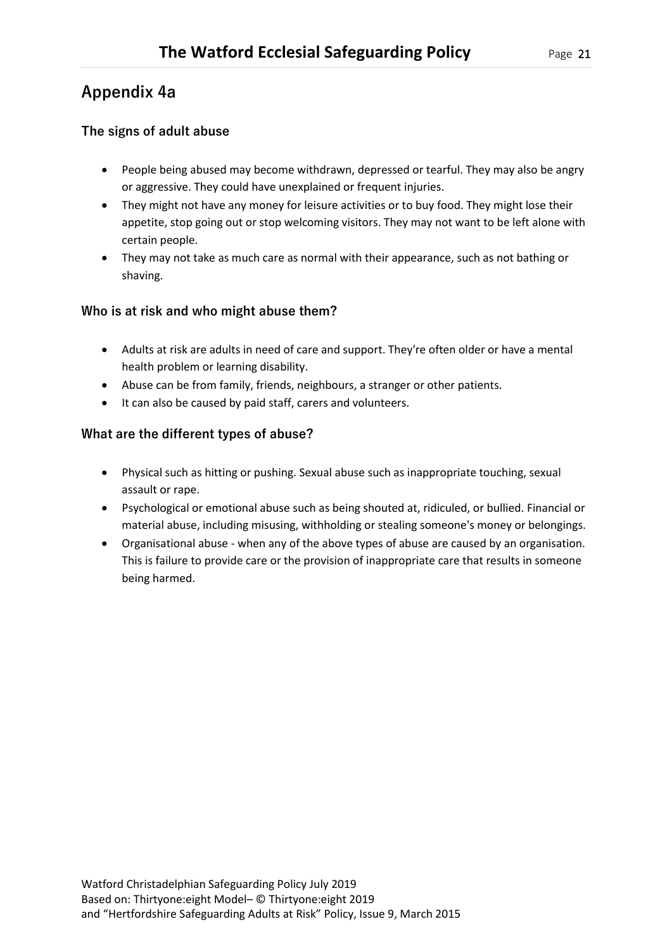# **Appendix 4a**

### **The signs of adult abuse**

- People being abused may become withdrawn, depressed or tearful. They may also be angry or aggressive. They could have unexplained or frequent injuries.
- They might not have any money for leisure activities or to buy food. They might lose their appetite, stop going out or stop welcoming visitors. They may not want to be left alone with certain people.
- They may not take as much care as normal with their appearance, such as not bathing or shaving.

### **Who is at risk and who might abuse them?**

- Adults at risk are adults in need of care and support. They're often older or have a mental health problem or learning disability.
- Abuse can be from family, friends, neighbours, a stranger or other patients.
- It can also be caused by paid staff, carers and volunteers.

### **What are the different types of abuse?**

- Physical such as hitting or pushing. Sexual abuse such as inappropriate touching, sexual assault or rape.
- Psychological or emotional abuse such as being shouted at, ridiculed, or bullied. Financial or material abuse, including misusing, withholding or stealing someone's money or belongings.
- Organisational abuse when any of the above types of abuse are caused by an organisation. This is failure to provide care or the provision of inappropriate care that results in someone being harmed.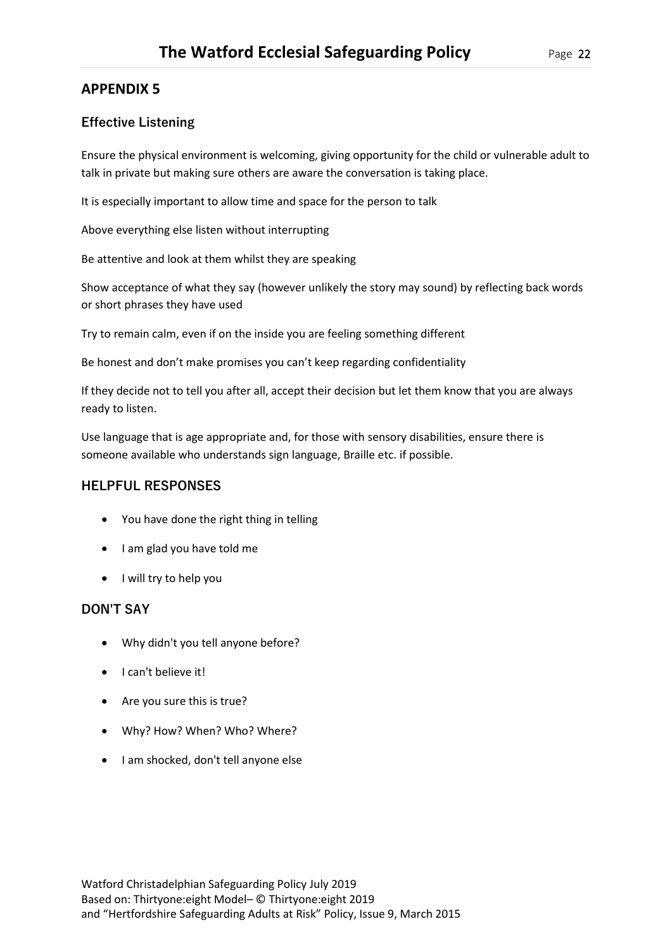### **APPENDIX 5**

### **Effective Listening**

Ensure the physical environment is welcoming, giving opportunity for the child or vulnerable adult to talk in private but making sure others are aware the conversation is taking place.

It is especially important to allow time and space for the person to talk

Above everything else listen without interrupting

Be attentive and look at them whilst they are speaking

Show acceptance of what they say (however unlikely the story may sound) by reflecting back words or short phrases they have used

Try to remain calm, even if on the inside you are feeling something different

Be honest and don't make promises you can't keep regarding confidentiality

If they decide not to tell you after all, accept their decision but let them know that you are always ready to listen.

Use language that is age appropriate and, for those with sensory disabilities, ensure there is someone available who understands sign language, Braille etc. if possible.

### **HELPFUL RESPONSES**

- You have done the right thing in telling
- I am glad you have told me
- I will try to help you

### **DON'T SAY**

- Why didn't you tell anyone before?
- I can't believe it!
- Are you sure this is true?
- Why? How? When? Who? Where?
- I am shocked, don't tell anyone else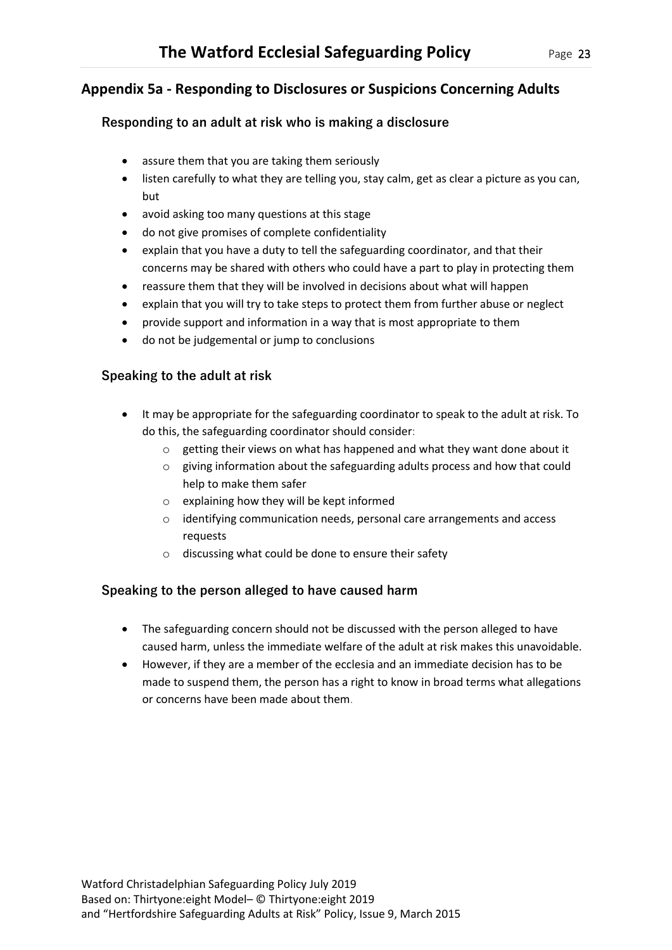## **Appendix 5a - Responding to Disclosures or Suspicions Concerning Adults**

### **Responding to an adult at risk who is making a disclosure**

- assure them that you are taking them seriously
- listen carefully to what they are telling you, stay calm, get as clear a picture as you can, but
- avoid asking too many questions at this stage
- do not give promises of complete confidentiality
- explain that you have a duty to tell the safeguarding coordinator, and that their concerns may be shared with others who could have a part to play in protecting them
- reassure them that they will be involved in decisions about what will happen
- explain that you will try to take steps to protect them from further abuse or neglect
- provide support and information in a way that is most appropriate to them
- do not be judgemental or jump to conclusions

### **Speaking to the adult at risk**

- It may be appropriate for the safeguarding coordinator to speak to the adult at risk. To do this, the safeguarding coordinator should consider:
	- o getting their views on what has happened and what they want done about it
	- o giving information about the safeguarding adults process and how that could help to make them safer
	- o explaining how they will be kept informed
	- o identifying communication needs, personal care arrangements and access requests
	- o discussing what could be done to ensure their safety

### **Speaking to the person alleged to have caused harm**

- The safeguarding concern should not be discussed with the person alleged to have caused harm, unless the immediate welfare of the adult at risk makes this unavoidable.
- However, if they are a member of the ecclesia and an immediate decision has to be made to suspend them, the person has a right to know in broad terms what allegations or concerns have been made about them.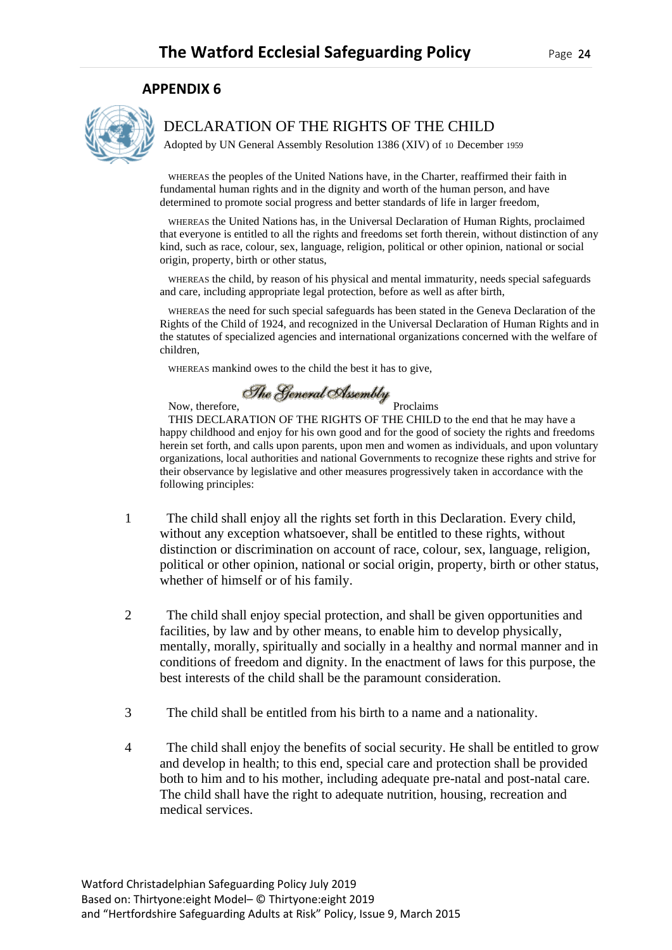### **APPENDIX 6**



# DECLARATION OF THE RIGHTS OF THE CHILD

Adopted by UN General Assembly Resolution 1386 (XIV) of 10 December 1959

 WHEREAS the peoples of the United Nations have, in the Charter, reaffirmed their faith in fundamental human rights and in the dignity and worth of the human person, and have determined to promote social progress and better standards of life in larger freedom,

 WHEREAS the United Nations has, in the Universal Declaration of Human Rights, proclaimed that everyone is entitled to all the rights and freedoms set forth therein, without distinction of any kind, such as race, colour, sex, language, religion, political or other opinion, national or social origin, property, birth or other status,

 WHEREAS the child, by reason of his physical and mental immaturity, needs special safeguards and care, including appropriate legal protection, before as well as after birth,

 WHEREAS the need for such special safeguards has been stated in the Geneva Declaration of the Rights of the Child of 1924, and recognized in the Universal Declaration of Human Rights and in the statutes of specialized agencies and international organizations concerned with the welfare of children,

WHEREAS mankind owes to the child the best it has to give,

# $\mathcal{I}$  Now, therefore,  $\mathcal{I}$   $\mathcal{I}$   $\mathcal{I}$   $\mathcal{I}$   $\mathcal{I}$   $\mathcal{I}$   $\mathcal{I}$   $\mathcal{I}$   $\mathcal{I}$   $\mathcal{I}$   $\mathcal{I}$   $\mathcal{I}$   $\mathcal{I}$   $\mathcal{I}$   $\mathcal{I}$   $\mathcal{I}$   $\mathcal{I}$   $\mathcal{I}$   $\mathcal{I}$   $\mathcal{I}$   $\mathcal{I}$   $\mathcal{I}$

 THIS DECLARATION OF THE RIGHTS OF THE CHILD to the end that he may have a happy childhood and enjoy for his own good and for the good of society the rights and freedoms herein set forth, and calls upon parents, upon men and women as individuals, and upon voluntary organizations, local authorities and national Governments to recognize these rights and strive for their observance by legislative and other measures progressively taken in accordance with the following principles:

- 1 The child shall enjoy all the rights set forth in this Declaration. Every child, without any exception whatsoever, shall be entitled to these rights, without distinction or discrimination on account of race, colour, sex, language, religion, political or other opinion, national or social origin, property, birth or other status, whether of himself or of his family.
- 2 The child shall enjoy special protection, and shall be given opportunities and facilities, by law and by other means, to enable him to develop physically, mentally, morally, spiritually and socially in a healthy and normal manner and in conditions of freedom and dignity. In the enactment of laws for this purpose, the best interests of the child shall be the paramount consideration.
- 3 The child shall be entitled from his birth to a name and a nationality.
- 4 The child shall enjoy the benefits of social security. He shall be entitled to grow and develop in health; to this end, special care and protection shall be provided both to him and to his mother, including adequate pre-natal and post-natal care. The child shall have the right to adequate nutrition, housing, recreation and medical services.